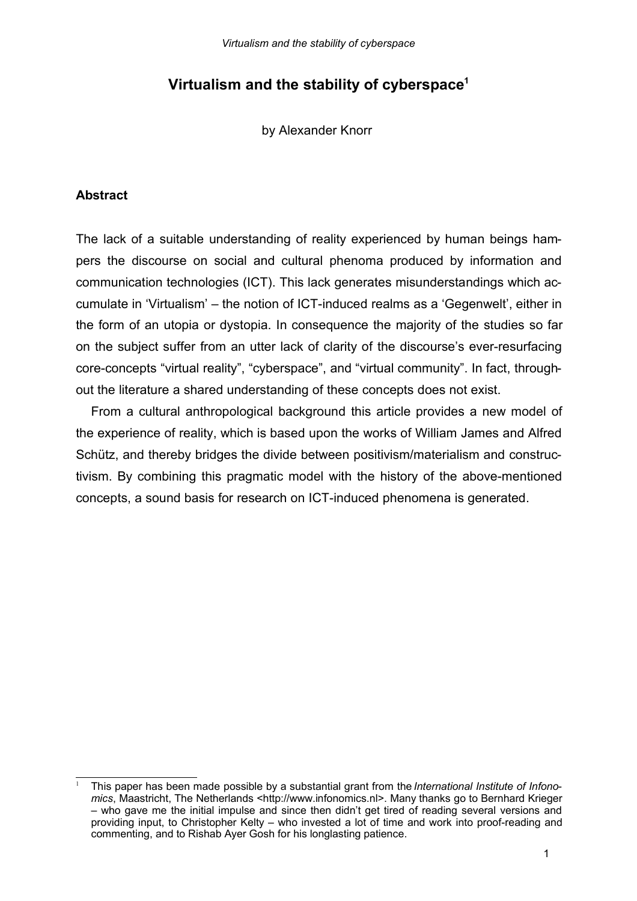# **Virtualism and the stability of cyberspace<sup>1</sup>**

by Alexander Knorr

# **Abstract**

The lack of a suitable understanding of reality experienced by human beings hampers the discourse on social and cultural phenoma produced by information and communication technologies (ICT). This lack generates misunderstandings which accumulate in 'Virtualism' – the notion of ICT-induced realms as a 'Gegenwelt', either in the form of an utopia or dystopia. In consequence the majority of the studies so far on the subject suffer from an utter lack of clarity of the discourse's ever-resurfacing core-concepts "virtual reality", "cyberspace", and "virtual community". In fact, throughout the literature a shared understanding of these concepts does not exist.

From a cultural anthropological background this article provides a new model of the experience of reality, which is based upon the works of William James and Alfred Schütz, and thereby bridges the divide between positivism/materialism and constructivism. By combining this pragmatic model with the history of the above-mentioned concepts, a sound basis for research on ICT-induced phenomena is generated.

<sup>1</sup> This paper has been made possible by a substantial grant from the*International Institute of Infonomics*, Maastricht, The Netherlands <http://www.infonomics.nl>. Many thanks go to Bernhard Krieger – who gave me the initial impulse and since then didn't get tired of reading several versions and providing input, to Christopher Kelty – who invested a lot of time and work into proof-reading and commenting, and to Rishab Ayer Gosh for his longlasting patience.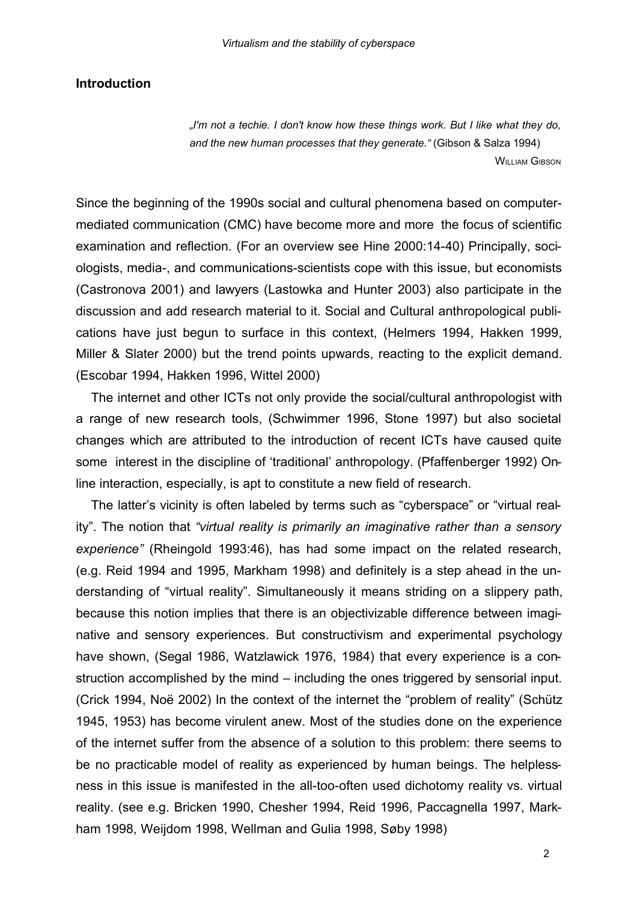# **Introduction**

*"I'm not a techie. I don't know how these things work. But I like what they do, and the new human processes that they generate."* (Gibson & Salza 1994) **WILLIAM GIBSON** 

Since the beginning of the 1990s social and cultural phenomena based on computermediated communication (CMC) have become more and more the focus of scientific examination and reflection. (For an overview see Hine 2000:14-40) Principally, sociologists, media-, and communications-scientists cope with this issue, but economists (Castronova 2001) and lawyers (Lastowka and Hunter 2003) also participate in the discussion and add research material to it. Social and Cultural anthropological publications have just begun to surface in this context, (Helmers 1994, Hakken 1999, Miller & Slater 2000) but the trend points upwards, reacting to the explicit demand. (Escobar 1994, Hakken 1996, Wittel 2000)

The internet and other ICTs not only provide the social/cultural anthropologist with a range of new research tools, (Schwimmer 1996, Stone 1997) but also societal changes which are attributed to the introduction of recent ICTs have caused quite some interest in the discipline of 'traditional' anthropology. (Pfaffenberger 1992) Online interaction, especially, is apt to constitute a new field of research.

The latter's vicinity is often labeled by terms such as "cyberspace" or "virtual reality". The notion that *"virtual reality is primarily an imaginative rather than a sensory experience"* (Rheingold 1993:46), has had some impact on the related research, (e.g. Reid 1994 and 1995, Markham 1998) and definitely is a step ahead in the understanding of "virtual reality". Simultaneously it means striding on a slippery path, because this notion implies that there is an objectivizable difference between imaginative and sensory experiences. But constructivism and experimental psychology have shown, (Segal 1986, Watzlawick 1976, 1984) that every experience is a construction accomplished by the mind – including the ones triggered by sensorial input. (Crick 1994, Noë 2002) In the context of the internet the "problem of reality" (Schütz 1945, 1953) has become virulent anew. Most of the studies done on the experience of the internet suffer from the absence of a solution to this problem: there seems to be no practicable model of reality as experienced by human beings. The helplessness in this issue is manifested in the all-too-often used dichotomy reality vs. virtual reality. (see e.g. Bricken 1990, Chesher 1994, Reid 1996, Paccagnella 1997, Markham 1998, Weijdom 1998, Wellman and Gulia 1998, Søby 1998)

2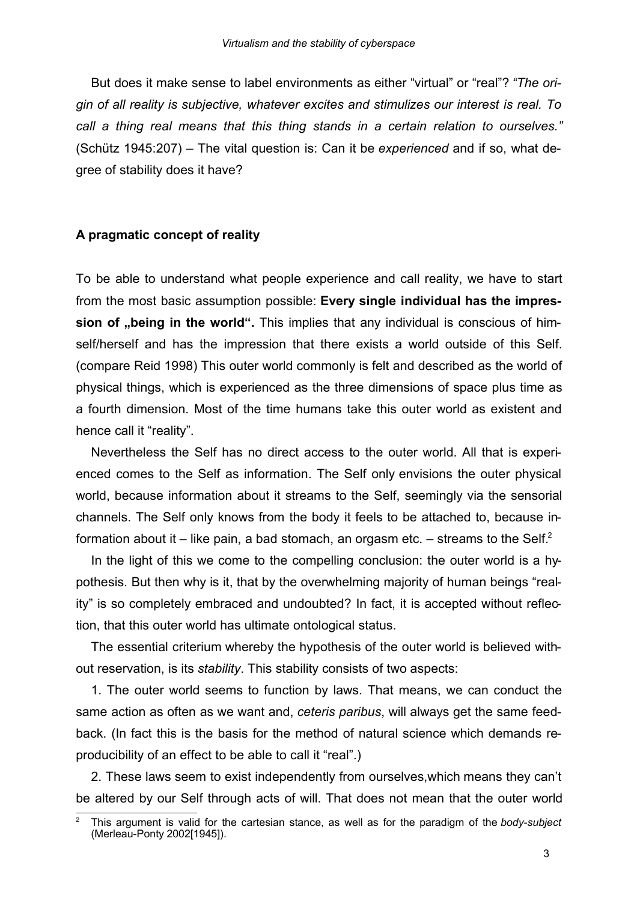But does it make sense to label environments as either "virtual" or "real"? *"The origin of all reality is subjective, whatever excites and stimulizes our interest is real. To call a thing real means that this thing stands in a certain relation to ourselves."* (Schütz 1945:207) – The vital question is: Can it be *experienced* and if so, what degree of stability does it have?

## **A pragmatic concept of reality**

To be able to understand what people experience and call reality, we have to start from the most basic assumption possible: **Every single individual has the impression of "being in the world".** This implies that any individual is conscious of himself/herself and has the impression that there exists a world outside of this Self. (compare Reid 1998) This outer world commonly is felt and described as the world of physical things, which is experienced as the three dimensions of space plus time as a fourth dimension. Most of the time humans take this outer world as existent and hence call it "reality".

Nevertheless the Self has no direct access to the outer world. All that is experienced comes to the Self as information. The Self only envisions the outer physical world, because information about it streams to the Self, seemingly via the sensorial channels. The Self only knows from the body it feels to be attached to, because information about it – like pain, a bad stomach, an orgasm etc. – streams to the Self.<sup>2</sup>

In the light of this we come to the compelling conclusion: the outer world is a hypothesis. But then why is it, that by the overwhelming majority of human beings "reality" is so completely embraced and undoubted? In fact, it is accepted without reflection, that this outer world has ultimate ontological status.

The essential criterium whereby the hypothesis of the outer world is believed without reservation, is its *stability*. This stability consists of two aspects:

1. The outer world seems to function by laws. That means, we can conduct the same action as often as we want and, *ceteris paribus*, will always get the same feedback. (In fact this is the basis for the method of natural science which demands reproducibility of an effect to be able to call it "real".)

2. These laws seem to exist independently from ourselves,which means they can't be altered by our Self through acts of will. That does not mean that the outer world

<sup>2</sup> This argument is valid for the cartesian stance, as well as for the paradigm of the *body-subject* (Merleau-Ponty 2002[1945]).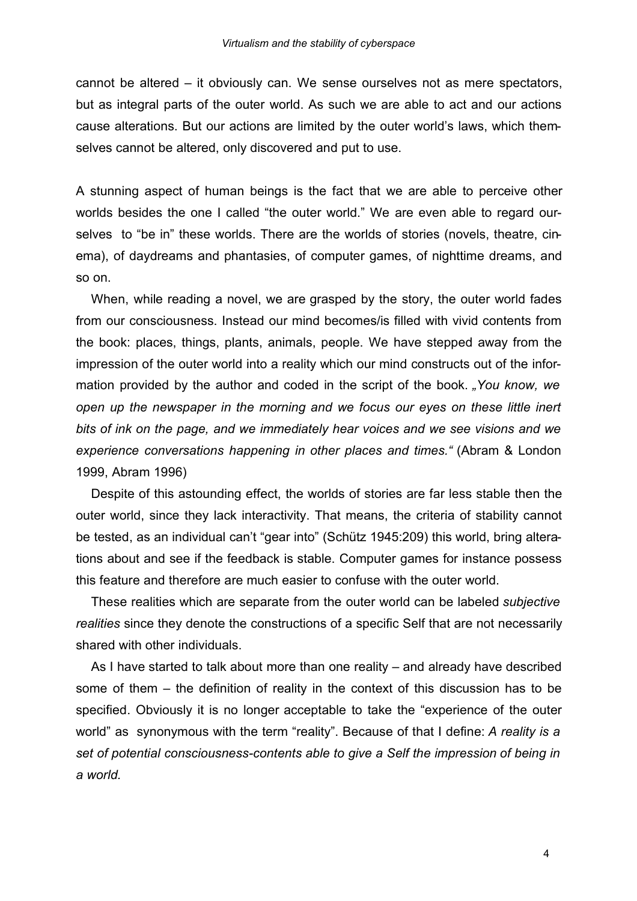cannot be altered – it obviously can. We sense ourselves not as mere spectators, but as integral parts of the outer world. As such we are able to act and our actions cause alterations. But our actions are limited by the outer world's laws, which themselves cannot be altered, only discovered and put to use.

A stunning aspect of human beings is the fact that we are able to perceive other worlds besides the one I called "the outer world." We are even able to regard ourselves to "be in" these worlds. There are the worlds of stories (novels, theatre, cinema), of daydreams and phantasies, of computer games, of nighttime dreams, and so on.

When, while reading a novel, we are grasped by the story, the outer world fades from our consciousness. Instead our mind becomes/is filled with vivid contents from the book: places, things, plants, animals, people. We have stepped away from the impression of the outer world into a reality which our mind constructs out of the information provided by the author and coded in the script of the book. *"You know, we open up the newspaper in the morning and we focus our eyes on these little inert bits of ink on the page, and we immediately hear voices and we see visions and we experience conversations happening in other places and times."* (Abram & London 1999, Abram 1996)

Despite of this astounding effect, the worlds of stories are far less stable then the outer world, since they lack interactivity. That means, the criteria of stability cannot be tested, as an individual can't "gear into" (Schütz 1945:209) this world, bring alterations about and see if the feedback is stable. Computer games for instance possess this feature and therefore are much easier to confuse with the outer world.

These realities which are separate from the outer world can be labeled *subjective realities* since they denote the constructions of a specific Self that are not necessarily shared with other individuals.

As I have started to talk about more than one reality – and already have described some of them – the definition of reality in the context of this discussion has to be specified. Obviously it is no longer acceptable to take the "experience of the outer world" as synonymous with the term "reality". Because of that I define: *A reality is a set of potential consciousness-contents able to give a Self the impression of being in a world.*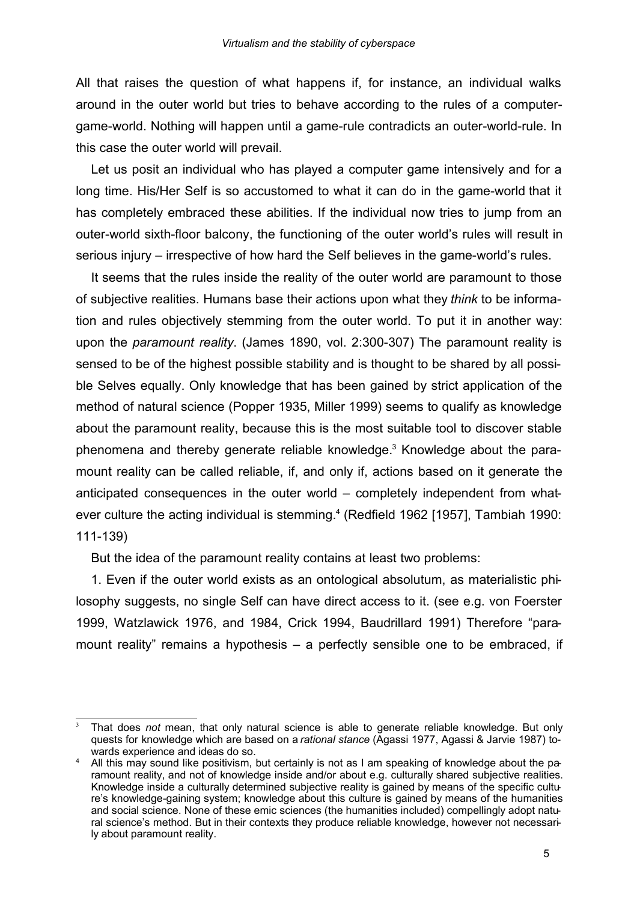All that raises the question of what happens if, for instance, an individual walks around in the outer world but tries to behave according to the rules of a computergame-world. Nothing will happen until a game-rule contradicts an outer-world-rule. In this case the outer world will prevail.

Let us posit an individual who has played a computer game intensively and for a long time. His/Her Self is so accustomed to what it can do in the game-world that it has completely embraced these abilities. If the individual now tries to jump from an outer-world sixth-floor balcony, the functioning of the outer world's rules will result in serious injury – irrespective of how hard the Self believes in the game-world's rules.

It seems that the rules inside the reality of the outer world are paramount to those of subjective realities. Humans base their actions upon what they *think* to be information and rules objectively stemming from the outer world. To put it in another way: upon the *paramount reality*. (James 1890, vol. 2:300-307) The paramount reality is sensed to be of the highest possible stability and is thought to be shared by all possible Selves equally. Only knowledge that has been gained by strict application of the method of natural science (Popper 1935, Miller 1999) seems to qualify as knowledge about the paramount reality, because this is the most suitable tool to discover stable phenomena and thereby generate reliable knowledge. <sup>3</sup> Knowledge about the paramount reality can be called reliable, if, and only if, actions based on it generate the anticipated consequences in the outer world – completely independent from whatever culture the acting individual is stemming. 4 (Redfield 1962 [1957], Tambiah 1990: 111-139)

But the idea of the paramount reality contains at least two problems:

1. Even if the outer world exists as an ontological absolutum, as materialistic philosophy suggests, no single Self can have direct access to it. (see e.g. von Foerster 1999, Watzlawick 1976, and 1984, Crick 1994, Baudrillard 1991) Therefore "paramount reality" remains a hypothesis – a perfectly sensible one to be embraced, if

<sup>3</sup> That does *not* mean, that only natural science is able to generate reliable knowledge. But only quests for knowledge which are based on a*rational stance* (Agassi 1977, Agassi & Jarvie 1987) towards experience and ideas do so.

<sup>4</sup> All this may sound like positivism, but certainly is not as I am speaking of knowledge about the paramount reality, and not of knowledge inside and/or about e.g. culturally shared subjective realities. Knowledge inside a culturally determined subjective reality is gained by means of the specific culture's knowledge-gaining system; knowledge about this culture is gained by means of the humanities and social science. None of these emic sciences (the humanities included) compellingly adopt natural science's method. But in their contexts they produce reliable knowledge, however not necessarily about paramount reality.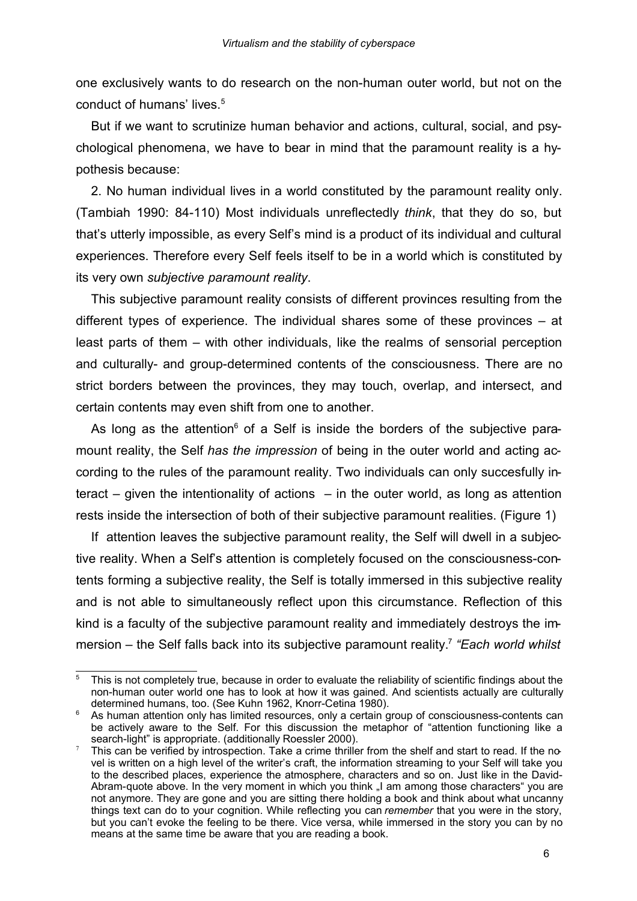one exclusively wants to do research on the non-human outer world, but not on the conduct of humans' lives.<sup>5</sup>

But if we want to scrutinize human behavior and actions, cultural, social, and psychological phenomena, we have to bear in mind that the paramount reality is a hypothesis because:

2. No human individual lives in a world constituted by the paramount reality only. (Tambiah 1990: 84-110) Most individuals unreflectedly *think*, that they do so, but that's utterly impossible, as every Self's mind is a product of its individual and cultural experiences. Therefore every Self feels itself to be in a world which is constituted by its very own *subjective paramount reality*.

This subjective paramount reality consists of different provinces resulting from the different types of experience. The individual shares some of these provinces – at least parts of them – with other individuals, like the realms of sensorial perception and culturally- and group-determined contents of the consciousness. There are no strict borders between the provinces, they may touch, overlap, and intersect, and certain contents may even shift from one to another.

As long as the attention<sup> $6$ </sup> of a Self is inside the borders of the subjective paramount reality, the Self *has the impression* of being in the outer world and acting according to the rules of the paramount reality. Two individuals can only succesfully interact – given the intentionality of actions – in the outer world, as long as attention rests inside the intersection of both of their subjective paramount realities. (Figure 1)

If attention leaves the subjective paramount reality, the Self will dwell in a subjective reality. When a Self's attention is completely focused on the consciousness-contents forming a subjective reality, the Self is totally immersed in this subjective reality and is not able to simultaneously reflect upon this circumstance. Reflection of this kind is a faculty of the subjective paramount reality and immediately destroys the immersion – the Self falls back into its subjective paramount reality.<sup>7</sup> *"Each world whilst*

<sup>&</sup>lt;sup>5</sup> This is not completely true, because in order to evaluate the reliability of scientific findings about the non-human outer world one has to look at how it was gained. And scientists actually are culturally determined humans, too. (See Kuhn 1962, Knorr-Cetina 1980).

As human attention only has limited resources, only a certain group of consciousness-contents can be actively aware to the Self. For this discussion the metaphor of "attention functioning like a search-light" is appropriate. (additionally Roessler 2000).

This can be verified by introspection. Take a crime thriller from the shelf and start to read. If the novel is written on a high level of the writer's craft, the information streaming to your Self will take you to the described places, experience the atmosphere, characters and so on. Just like in the David-Abram-quote above. In the very moment in which you think "I am among those characters" you are not anymore. They are gone and you are sitting there holding a book and think about what uncanny things text can do to your cognition. While reflecting you can *remember* that you were in the story, but you can't evoke the feeling to be there. Vice versa, while immersed in the story you can by no means at the same time be aware that you are reading a book.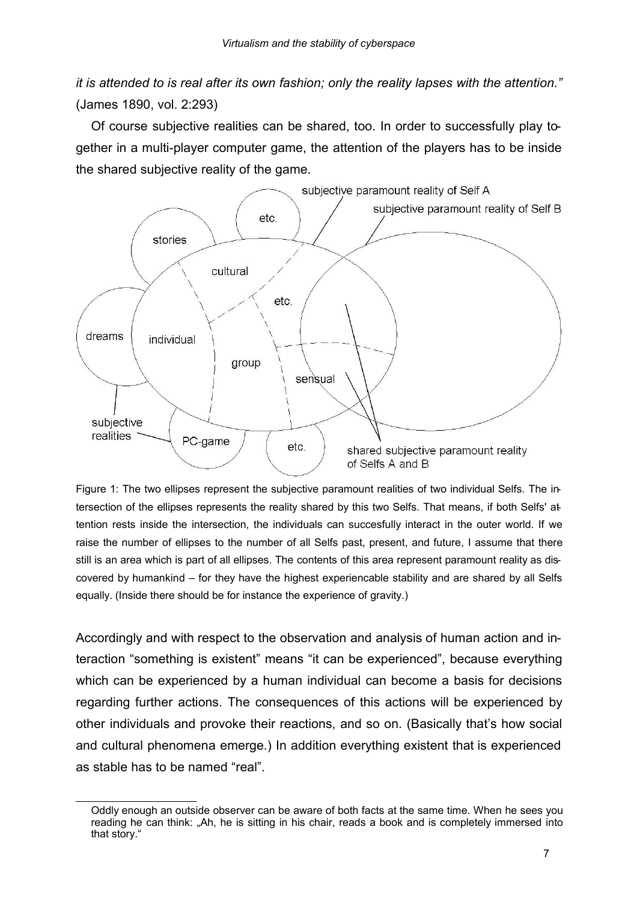*it is attended to is real after its own fashion; only the reality lapses with the attention."* (James 1890, vol. 2:293)

Of course subjective realities can be shared, too. In order to successfully play together in a multi-player computer game, the attention of the players has to be inside the shared subjective reality of the game.



Figure 1: The two ellipses represent the subjective paramount realities of two individual Selfs. The intersection of the ellipses represents the reality shared by this two Selfs. That means, if both Selfs' attention rests inside the intersection, the individuals can succesfully interact in the outer world. If we raise the number of ellipses to the number of all Selfs past, present, and future, I assume that there still is an area which is part of all ellipses. The contents of this area represent paramount reality as discovered by humankind – for they have the highest experiencable stability and are shared by all Selfs equally. (Inside there should be for instance the experience of gravity.)

Accordingly and with respect to the observation and analysis of human action and interaction "something is existent" means "it can be experienced", because everything which can be experienced by a human individual can become a basis for decisions regarding further actions. The consequences of this actions will be experienced by other individuals and provoke their reactions, and so on. (Basically that's how social and cultural phenomena emerge.) In addition everything existent that is experienced as stable has to be named "real".

Oddly enough an outside observer can be aware of both facts at the same time. When he sees you reading he can think: "Ah, he is sitting in his chair, reads a book and is completely immersed into that story."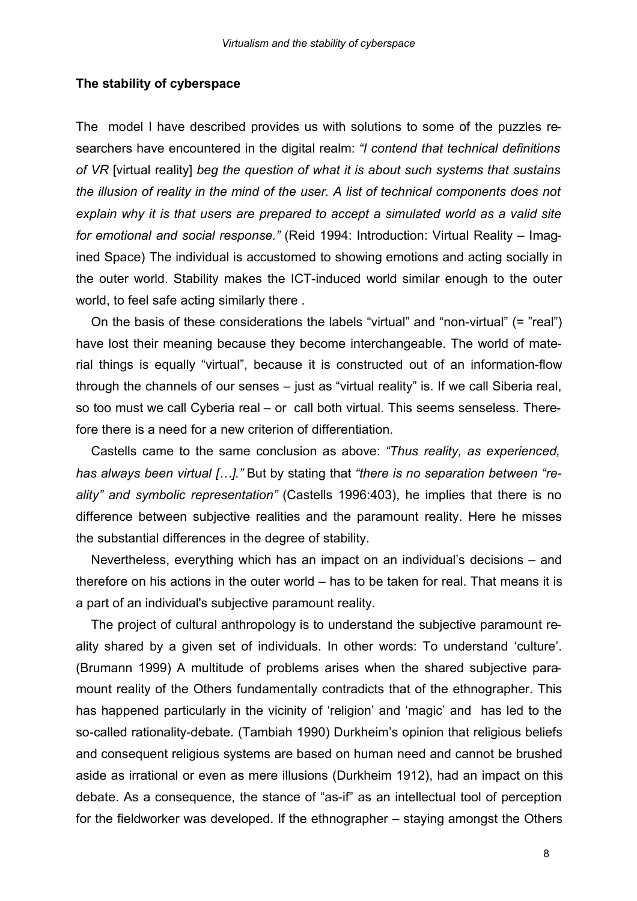#### **The stability of cyberspace**

The model I have described provides us with solutions to some of the puzzles researchers have encountered in the digital realm: *"I contend that technical definitions of VR* [virtual reality] *beg the question of what it is about such systems that sustains the illusion of reality in the mind of the user. A list of technical components does not explain why it is that users are prepared to accept a simulated world as a valid site for emotional and social response."* (Reid 1994: Introduction: Virtual Reality – Imagined Space) The individual is accustomed to showing emotions and acting socially in the outer world. Stability makes the ICT-induced world similar enough to the outer world, to feel safe acting similarly there .

On the basis of these considerations the labels "virtual" and "non-virtual" (= "real") have lost their meaning because they become interchangeable. The world of material things is equally "virtual", because it is constructed out of an information-flow through the channels of our senses – just as "virtual reality" is. If we call Siberia real, so too must we call Cyberia real – or call both virtual. This seems senseless. Therefore there is a need for a new criterion of differentiation.

Castells came to the same conclusion as above: *"Thus reality, as experienced, has always been virtual […]."* But by stating that *"there is no separation between "reality" and symbolic representation"* (Castells 1996:403), he implies that there is no difference between subjective realities and the paramount reality. Here he misses the substantial differences in the degree of stability.

Nevertheless, everything which has an impact on an individual's decisions – and therefore on his actions in the outer world – has to be taken for real. That means it is a part of an individual's subjective paramount reality.

The project of cultural anthropology is to understand the subjective paramount reality shared by a given set of individuals. In other words: To understand 'culture'. (Brumann 1999) A multitude of problems arises when the shared subjective paramount reality of the Others fundamentally contradicts that of the ethnographer. This has happened particularly in the vicinity of 'religion' and 'magic' and has led to the so-called rationality-debate. (Tambiah 1990) Durkheim's opinion that religious beliefs and consequent religious systems are based on human need and cannot be brushed aside as irrational or even as mere illusions (Durkheim 1912), had an impact on this debate. As a consequence, the stance of "as-if" as an intellectual tool of perception for the fieldworker was developed. If the ethnographer – staying amongst the Others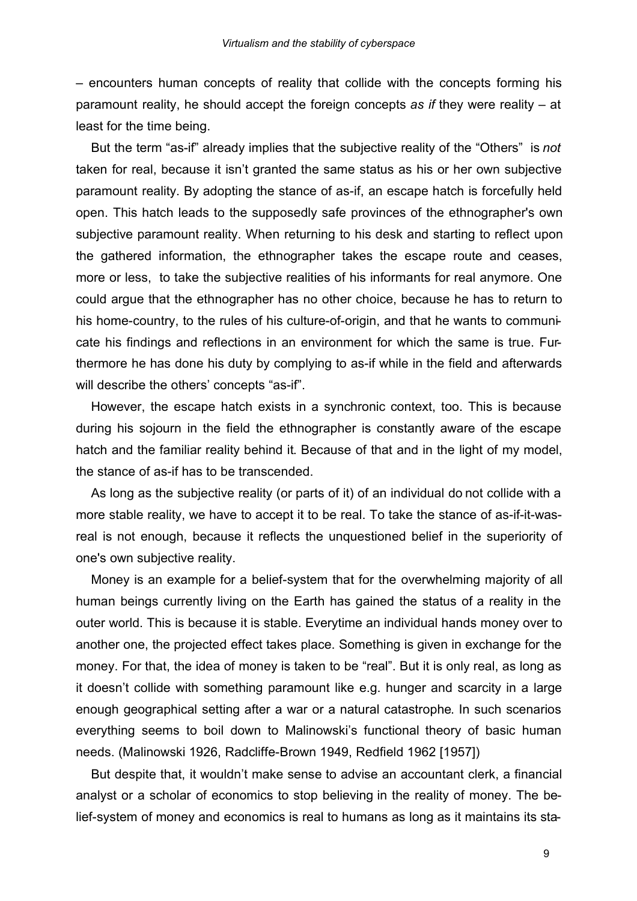– encounters human concepts of reality that collide with the concepts forming his paramount reality, he should accept the foreign concepts *as if* they were reality – at least for the time being.

But the term "as-if" already implies that the subjective reality of the "Others" is *not* taken for real, because it isn't granted the same status as his or her own subjective paramount reality. By adopting the stance of as-if, an escape hatch is forcefully held open. This hatch leads to the supposedly safe provinces of the ethnographer's own subjective paramount reality. When returning to his desk and starting to reflect upon the gathered information, the ethnographer takes the escape route and ceases, more or less, to take the subjective realities of his informants for real anymore. One could argue that the ethnographer has no other choice, because he has to return to his home-country, to the rules of his culture-of-origin, and that he wants to communicate his findings and reflections in an environment for which the same is true. Furthermore he has done his duty by complying to as-if while in the field and afterwards will describe the others' concepts "as-if".

However, the escape hatch exists in a synchronic context, too. This is because during his sojourn in the field the ethnographer is constantly aware of the escape hatch and the familiar reality behind it. Because of that and in the light of my model, the stance of as-if has to be transcended.

As long as the subjective reality (or parts of it) of an individual do not collide with a more stable reality, we have to accept it to be real. To take the stance of as-if-it-wasreal is not enough, because it reflects the unquestioned belief in the superiority of one's own subjective reality.

Money is an example for a belief-system that for the overwhelming majority of all human beings currently living on the Earth has gained the status of a reality in the outer world. This is because it is stable. Everytime an individual hands money over to another one, the projected effect takes place. Something is given in exchange for the money. For that, the idea of money is taken to be "real". But it is only real, as long as it doesn't collide with something paramount like e.g. hunger and scarcity in a large enough geographical setting after a war or a natural catastrophe. In such scenarios everything seems to boil down to Malinowski's functional theory of basic human needs. (Malinowski 1926, Radcliffe-Brown 1949, Redfield 1962 [1957])

But despite that, it wouldn't make sense to advise an accountant clerk, a financial analyst or a scholar of economics to stop believing in the reality of money. The belief-system of money and economics is real to humans as long as it maintains its sta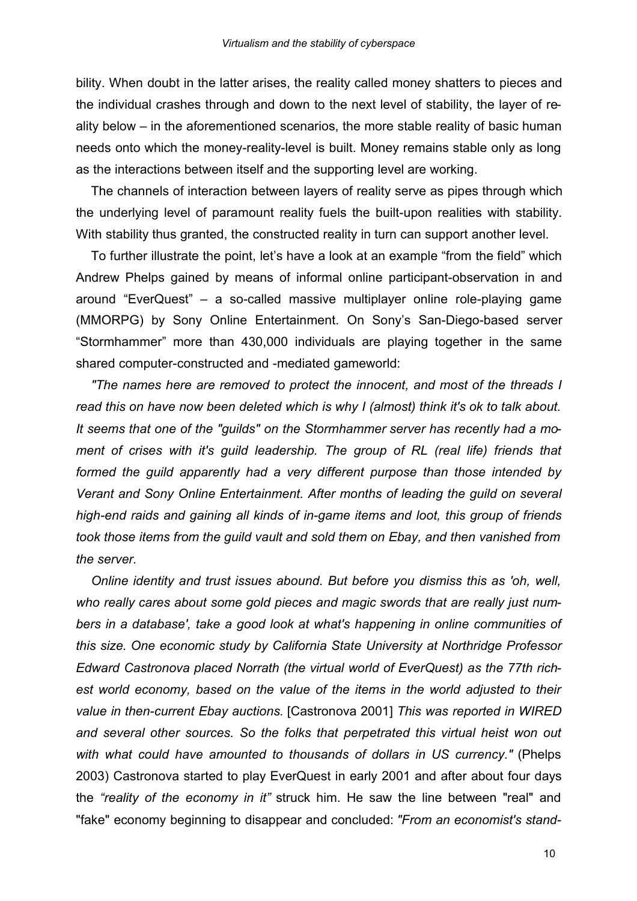bility. When doubt in the latter arises, the reality called money shatters to pieces and the individual crashes through and down to the next level of stability, the layer of reality below – in the aforementioned scenarios, the more stable reality of basic human needs onto which the money-reality-level is built. Money remains stable only as long as the interactions between itself and the supporting level are working.

The channels of interaction between layers of reality serve as pipes through which the underlying level of paramount reality fuels the built-upon realities with stability. With stability thus granted, the constructed reality in turn can support another level.

To further illustrate the point, let's have a look at an example "from the field" which Andrew Phelps gained by means of informal online participant-observation in and around "EverQuest" – a so-called massive multiplayer online role-playing game (MMORPG) by Sony Online Entertainment. On Sony's San-Diego-based server "Stormhammer" more than 430,000 individuals are playing together in the same shared computer-constructed and -mediated gameworld:

*"The names here are removed to protect the innocent, and most of the threads I read this on have now been deleted which is why I (almost) think it's ok to talk about. It seems that one of the "guilds" on the Stormhammer server has recently had a moment of crises with it's guild leadership. The group of RL (real life) friends that formed the guild apparently had a very different purpose than those intended by Verant and Sony Online Entertainment. After months of leading the guild on several high-end raids and gaining all kinds of in-game items and loot, this group of friends took those items from the guild vault and sold them on Ebay, and then vanished from the server.*

*Online identity and trust issues abound. But before you dismiss this as 'oh, well, who really cares about some gold pieces and magic swords that are really just numbers in a database', take a good look at what's happening in online communities of this size. One economic study by California State University at Northridge Professor Edward Castronova placed Norrath (the virtual world of EverQuest) as the 77th richest world economy, based on the value of the items in the world adjusted to their value in then-current Ebay auctions.* [Castronova 2001] *This was reported in WIRED and several other sources. So the folks that perpetrated this virtual heist won out with what could have amounted to thousands of dollars in US currency."* (Phelps 2003) Castronova started to play EverQuest in early 2001 and after about four days the *"reality of the economy in it"* struck him. He saw the line between "real" and "fake" economy beginning to disappear and concluded: *"From an economist's stand-*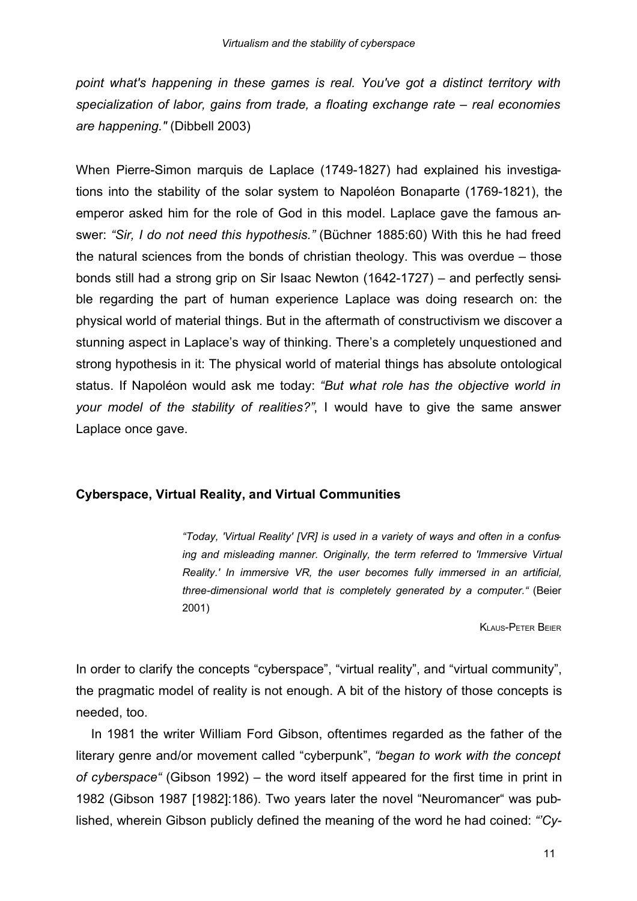*point what's happening in these games is real. You've got a distinct territory with specialization of labor, gains from trade, a floating exchange rate – real economies are happening."* (Dibbell 2003)

When Pierre-Simon marquis de Laplace (1749-1827) had explained his investigations into the stability of the solar system to Napoléon Bonaparte (1769-1821), the emperor asked him for the role of God in this model. Laplace gave the famous answer: *"Sir, I do not need this hypothesis."* (Büchner 1885:60) With this he had freed the natural sciences from the bonds of christian theology. This was overdue – those bonds still had a strong grip on Sir Isaac Newton (1642-1727) – and perfectly sensible regarding the part of human experience Laplace was doing research on: the physical world of material things. But in the aftermath of constructivism we discover a stunning aspect in Laplace's way of thinking. There's a completely unquestioned and strong hypothesis in it: The physical world of material things has absolute ontological status. If Napoléon would ask me today: *"But what role has the objective world in your model of the stability of realities?"*, I would have to give the same answer Laplace once gave.

# **Cyberspace, Virtual Reality, and Virtual Communities**

*"Today, 'Virtual Reality' [VR] is used in a variety of ways and often in a confusing and misleading manner. Originally, the term referred to 'Immersive Virtual Reality.' In immersive VR, the user becomes fully immersed in an artificial, three-dimensional world that is completely generated by a computer."* (Beier 2001)

KLAUS-PETER BEIER

In order to clarify the concepts "cyberspace", "virtual reality", and "virtual community", the pragmatic model of reality is not enough. A bit of the history of those concepts is needed, too.

In 1981 the writer William Ford Gibson, oftentimes regarded as the father of the literary genre and/or movement called "cyberpunk", *"began to work with the concept of cyberspace"* (Gibson 1992) – the word itself appeared for the first time in print in 1982 (Gibson 1987 [1982]:186). Two years later the novel "Neuromancer" was published, wherein Gibson publicly defined the meaning of the word he had coined: *"'Cy-*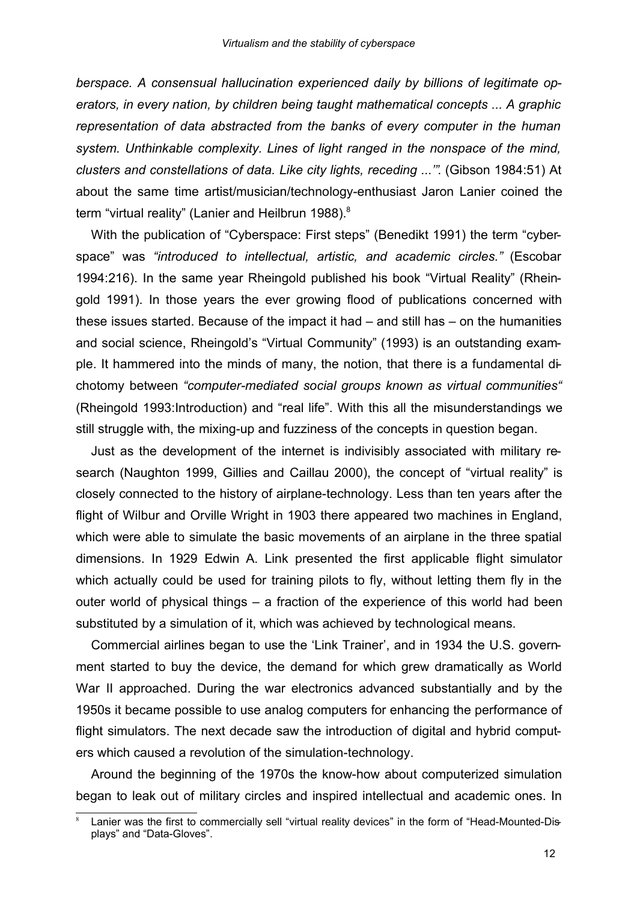*berspace. A consensual hallucination experienced daily by billions of legitimate operators, in every nation, by children being taught mathematical concepts ... A graphic representation of data abstracted from the banks of every computer in the human system. Unthinkable complexity. Lines of light ranged in the nonspace of the mind, clusters and constellations of data. Like city lights, receding ...'"*. (Gibson 1984:51) At about the same time artist/musician/technology-enthusiast Jaron Lanier coined the term "virtual reality" (Lanier and Heilbrun 1988).<sup>8</sup>

With the publication of "Cyberspace: First steps" (Benedikt 1991) the term "cyberspace" was *"introduced to intellectual, artistic, and academic circles."* (Escobar 1994:216). In the same year Rheingold published his book "Virtual Reality" (Rheingold 1991). In those years the ever growing flood of publications concerned with these issues started. Because of the impact it had – and still has – on the humanities and social science, Rheingold's "Virtual Community" (1993) is an outstanding example. It hammered into the minds of many, the notion, that there is a fundamental dichotomy between *"computer-mediated social groups known as virtual communities"* (Rheingold 1993:Introduction) and "real life". With this all the misunderstandings we still struggle with, the mixing-up and fuzziness of the concepts in question began.

Just as the development of the internet is indivisibly associated with military research (Naughton 1999, Gillies and Caillau 2000), the concept of "virtual reality" is closely connected to the history of airplane-technology. Less than ten years after the flight of Wilbur and Orville Wright in 1903 there appeared two machines in England, which were able to simulate the basic movements of an airplane in the three spatial dimensions. In 1929 Edwin A. Link presented the first applicable flight simulator which actually could be used for training pilots to fly, without letting them fly in the outer world of physical things – a fraction of the experience of this world had been substituted by a simulation of it, which was achieved by technological means.

Commercial airlines began to use the 'Link Trainer', and in 1934 the U.S. government started to buy the device, the demand for which grew dramatically as World War II approached. During the war electronics advanced substantially and by the 1950s it became possible to use analog computers for enhancing the performance of flight simulators. The next decade saw the introduction of digital and hybrid computers which caused a revolution of the simulation-technology.

Around the beginning of the 1970s the know-how about computerized simulation began to leak out of military circles and inspired intellectual and academic ones. In

Lanier was the first to commercially sell "virtual reality devices" in the form of "Head-Mounted-Displays" and "Data-Gloves".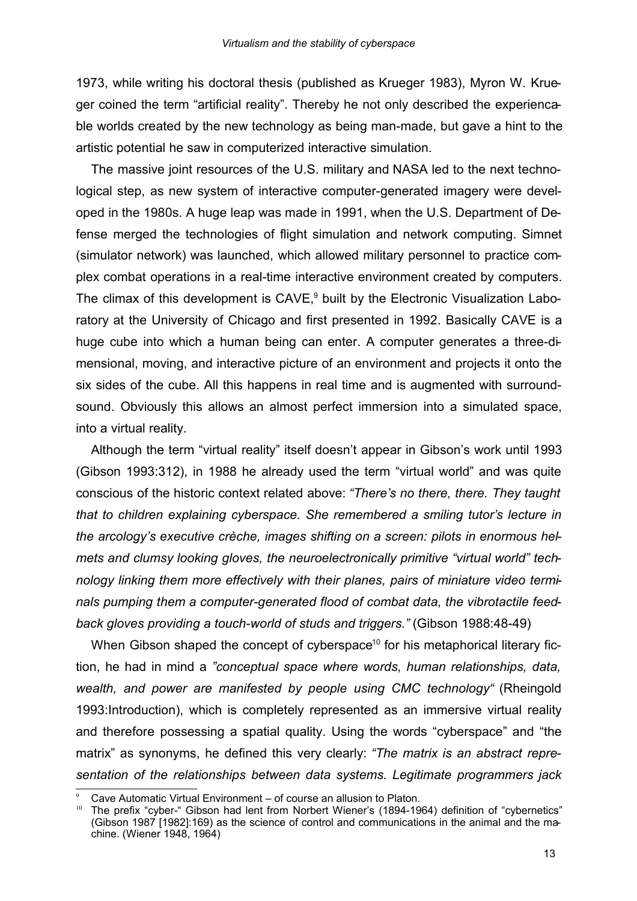1973, while writing his doctoral thesis (published as Krueger 1983), Myron W. Krueger coined the term "artificial reality". Thereby he not only described the experiencable worlds created by the new technology as being man-made, but gave a hint to the artistic potential he saw in computerized interactive simulation.

The massive joint resources of the U.S. military and NASA led to the next technological step, as new system of interactive computer-generated imagery were developed in the 1980s. A huge leap was made in 1991, when the U.S. Department of Defense merged the technologies of flight simulation and network computing. Simnet (simulator network) was launched, which allowed military personnel to practice complex combat operations in a real-time interactive environment created by computers. The climax of this development is CAVE,<sup>9</sup> built by the Electronic Visualization Laboratory at the University of Chicago and first presented in 1992. Basically CAVE is a huge cube into which a human being can enter. A computer generates a three-dimensional, moving, and interactive picture of an environment and projects it onto the six sides of the cube. All this happens in real time and is augmented with surroundsound. Obviously this allows an almost perfect immersion into a simulated space, into a virtual reality.

Although the term "virtual reality" itself doesn't appear in Gibson's work until 1993 (Gibson 1993:312), in 1988 he already used the term "virtual world" and was quite conscious of the historic context related above: *"There's no there, there. They taught that to children explaining cyberspace. She remembered a smiling tutor's lecture in the arcology's executive crèche, images shifting on a screen: pilots in enormous helmets and clumsy looking gloves, the neuroelectronically primitive "virtual world" technology linking them more effectively with their planes, pairs of miniature video terminals pumping them a computer-generated flood of combat data, the vibrotactile feedback gloves providing a touch-world of studs and triggers."* (Gibson 1988:48-49)

When Gibson shaped the concept of cyberspace<sup>10</sup> for his metaphorical literary fiction, he had in mind a *"conceptual space where words, human relationships, data, wealth, and power are manifested by people using CMC technology"* (Rheingold 1993:Introduction), which is completely represented as an immersive virtual reality and therefore possessing a spatial quality. Using the words "cyberspace" and "the matrix" as synonyms, he defined this very clearly: *"The matrix is an abstract representation of the relationships between data systems. Legitimate programmers jack*

Cave Automatic Virtual Environment – of course an allusion to Platon.

<sup>10</sup> The prefix "cyber-" Gibson had lent from Norbert Wiener's (1894-1964) definition of "cybernetics" (Gibson 1987 [1982]:169) as the science of control and communications in the animal and the machine. (Wiener 1948, 1964)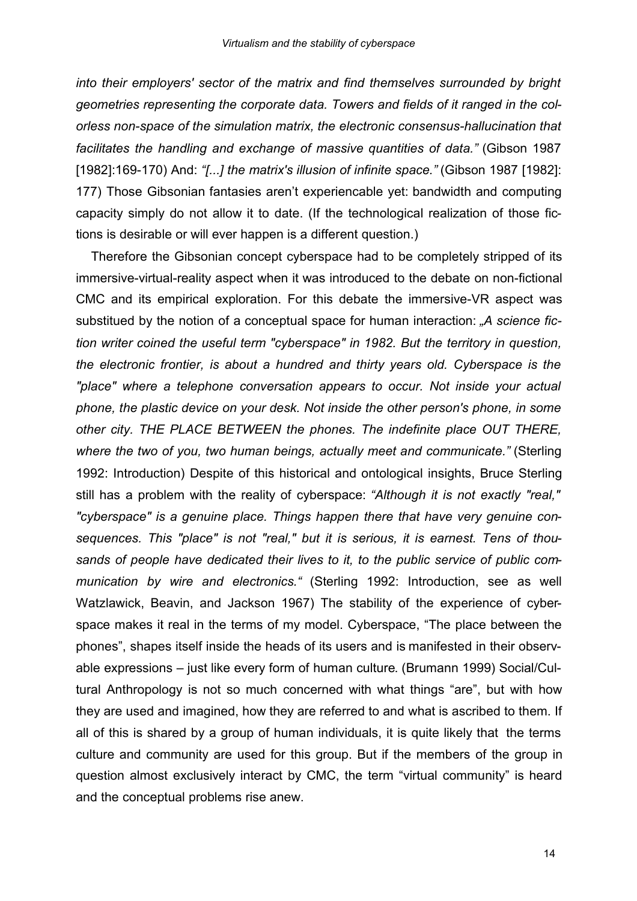*into their employers' sector of the matrix and find themselves surrounded by bright geometries representing the corporate data. Towers and fields of it ranged in the colorless non-space of the simulation matrix, the electronic consensus-hallucination that facilitates the handling and exchange of massive quantities of data."* (Gibson 1987 [1982]:169-170) And: *"[...] the matrix's illusion of infinite space."* (Gibson 1987 [1982]: 177) Those Gibsonian fantasies aren't experiencable yet: bandwidth and computing capacity simply do not allow it to date. (If the technological realization of those fictions is desirable or will ever happen is a different question.)

Therefore the Gibsonian concept cyberspace had to be completely stripped of its immersive-virtual-reality aspect when it was introduced to the debate on non-fictional CMC and its empirical exploration. For this debate the immersive-VR aspect was substitued by the notion of a conceptual space for human interaction: *"A science fiction writer coined the useful term "cyberspace" in 1982. But the territory in question, the electronic frontier, is about a hundred and thirty years old. Cyberspace is the "place" where a telephone conversation appears to occur. Not inside your actual phone, the plastic device on your desk. Not inside the other person's phone, in some other city. THE PLACE BETWEEN the phones. The indefinite place OUT THERE, where the two of you, two human beings, actually meet and communicate."* (Sterling 1992: Introduction) Despite of this historical and ontological insights, Bruce Sterling still has a problem with the reality of cyberspace: *"Although it is not exactly "real," "cyberspace" is a genuine place. Things happen there that have very genuine consequences. This "place" is not "real," but it is serious, it is earnest. Tens of thousands of people have dedicated their lives to it, to the public service of public communication by wire and electronics."* (Sterling 1992: Introduction, see as well Watzlawick, Beavin, and Jackson 1967) The stability of the experience of cyberspace makes it real in the terms of my model. Cyberspace, "The place between the phones", shapes itself inside the heads of its users and is manifested in their observable expressions – just like every form of human culture. (Brumann 1999) Social/Cultural Anthropology is not so much concerned with what things "are", but with how they are used and imagined, how they are referred to and what is ascribed to them. If all of this is shared by a group of human individuals, it is quite likely that the terms culture and community are used for this group. But if the members of the group in question almost exclusively interact by CMC, the term "virtual community" is heard and the conceptual problems rise anew.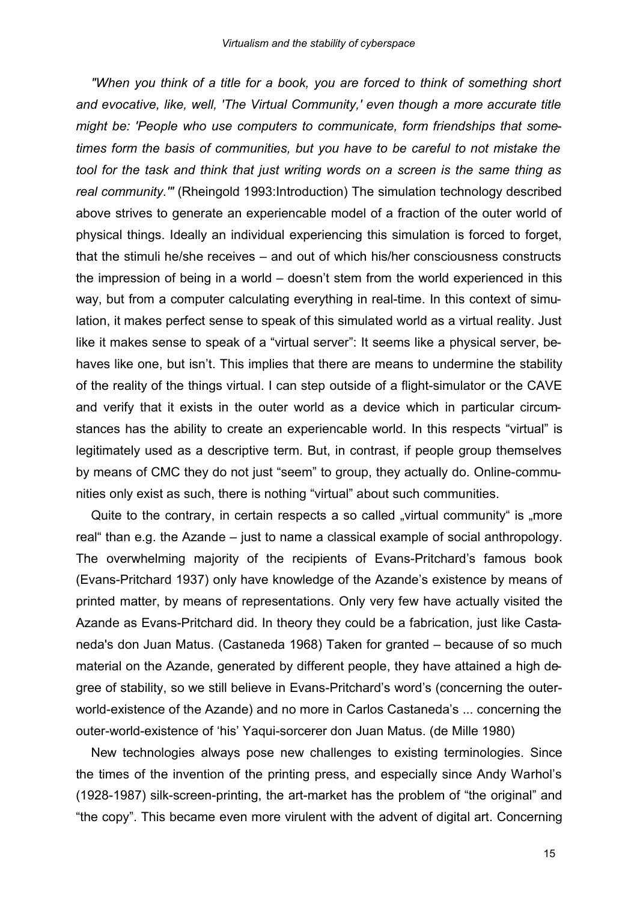*"When you think of a title for a book, you are forced to think of something short and evocative, like, well, 'The Virtual Community,' even though a more accurate title might be: 'People who use computers to communicate, form friendships that sometimes form the basis of communities, but you have to be careful to not mistake the tool for the task and think that just writing words on a screen is the same thing as real community.'"* (Rheingold 1993:Introduction) The simulation technology described above strives to generate an experiencable model of a fraction of the outer world of physical things. Ideally an individual experiencing this simulation is forced to forget, that the stimuli he/she receives – and out of which his/her consciousness constructs the impression of being in a world – doesn't stem from the world experienced in this way, but from a computer calculating everything in real-time. In this context of simulation, it makes perfect sense to speak of this simulated world as a virtual reality. Just like it makes sense to speak of a "virtual server": It seems like a physical server, behaves like one, but isn't. This implies that there are means to undermine the stability of the reality of the things virtual. I can step outside of a flight-simulator or the CAVE and verify that it exists in the outer world as a device which in particular circumstances has the ability to create an experiencable world. In this respects "virtual" is legitimately used as a descriptive term. But, in contrast, if people group themselves by means of CMC they do not just "seem" to group, they actually do. Online-communities only exist as such, there is nothing "virtual" about such communities.

Quite to the contrary, in certain respects a so called "virtual community" is "more real" than e.g. the Azande – just to name a classical example of social anthropology. The overwhelming majority of the recipients of Evans-Pritchard's famous book (Evans-Pritchard 1937) only have knowledge of the Azande's existence by means of printed matter, by means of representations. Only very few have actually visited the Azande as Evans-Pritchard did. In theory they could be a fabrication, just like Castaneda's don Juan Matus. (Castaneda 1968) Taken for granted – because of so much material on the Azande, generated by different people, they have attained a high degree of stability, so we still believe in Evans-Pritchard's word's (concerning the outerworld-existence of the Azande) and no more in Carlos Castaneda's ... concerning the outer-world-existence of 'his' Yaqui-sorcerer don Juan Matus. (de Mille 1980)

New technologies always pose new challenges to existing terminologies. Since the times of the invention of the printing press, and especially since Andy Warhol's (1928-1987) silk-screen-printing, the art-market has the problem of "the original" and "the copy". This became even more virulent with the advent of digital art. Concerning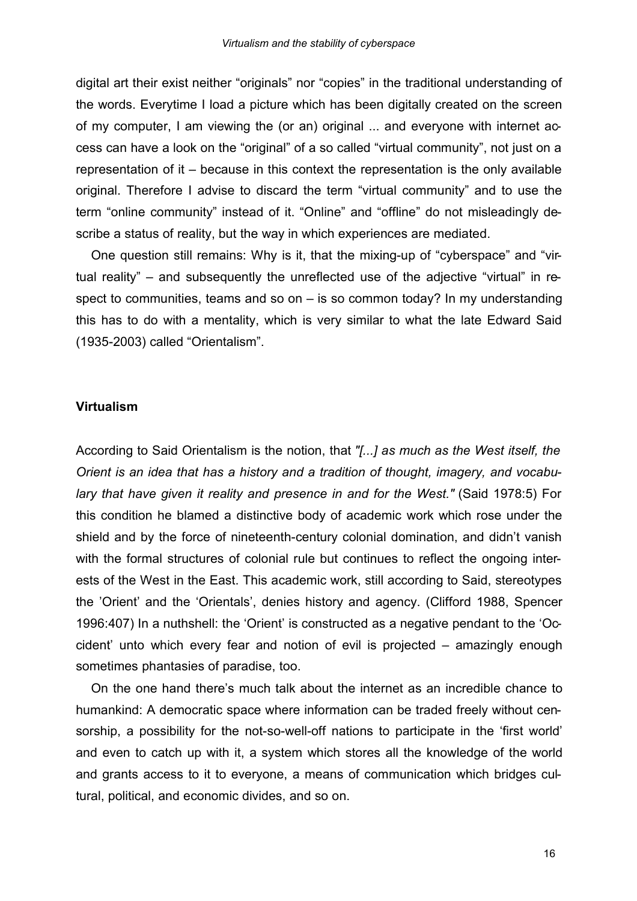digital art their exist neither "originals" nor "copies" in the traditional understanding of the words. Everytime I load a picture which has been digitally created on the screen of my computer, I am viewing the (or an) original ... and everyone with internet access can have a look on the "original" of a so called "virtual community", not just on a representation of it – because in this context the representation is the only available original. Therefore I advise to discard the term "virtual community" and to use the term "online community" instead of it. "Online" and "offline" do not misleadingly describe a status of reality, but the way in which experiences are mediated.

One question still remains: Why is it, that the mixing-up of "cyberspace" and "virtual reality" – and subsequently the unreflected use of the adjective "virtual" in respect to communities, teams and so on – is so common today? In my understanding this has to do with a mentality, which is very similar to what the late Edward Said (1935-2003) called "Orientalism".

## **Virtualism**

According to Said Orientalism is the notion, that *"[...] as much as the West itself, the Orient is an idea that has a history and a tradition of thought, imagery, and vocabulary that have given it reality and presence in and for the West."* (Said 1978:5) For this condition he blamed a distinctive body of academic work which rose under the shield and by the force of nineteenth-century colonial domination, and didn't vanish with the formal structures of colonial rule but continues to reflect the ongoing interests of the West in the East. This academic work, still according to Said, stereotypes the 'Orient' and the 'Orientals', denies history and agency. (Clifford 1988, Spencer 1996:407) In a nuthshell: the 'Orient' is constructed as a negative pendant to the 'Occident' unto which every fear and notion of evil is projected – amazingly enough sometimes phantasies of paradise, too.

On the one hand there's much talk about the internet as an incredible chance to humankind: A democratic space where information can be traded freely without censorship, a possibility for the not-so-well-off nations to participate in the 'first world' and even to catch up with it, a system which stores all the knowledge of the world and grants access to it to everyone, a means of communication which bridges cultural, political, and economic divides, and so on.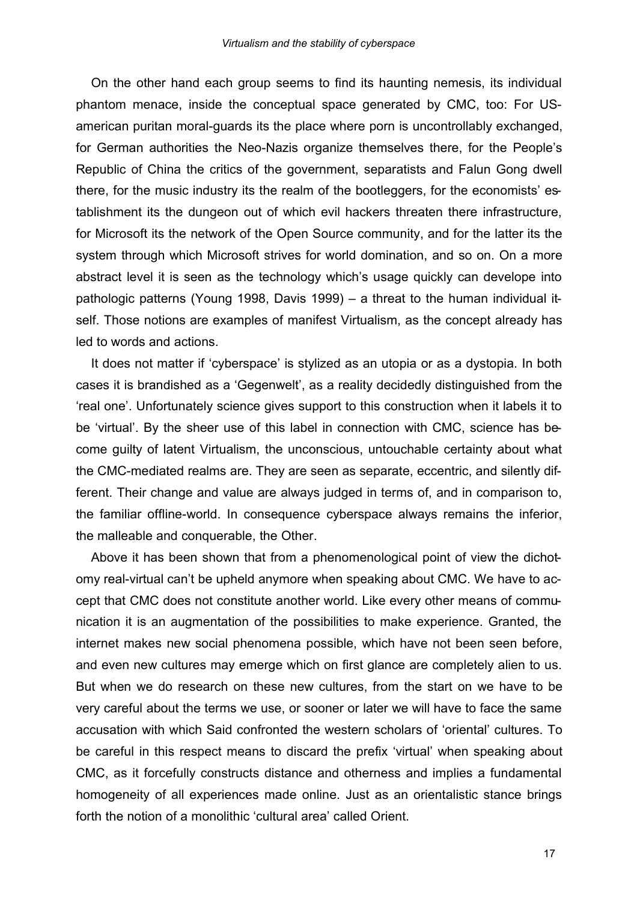On the other hand each group seems to find its haunting nemesis, its individual phantom menace, inside the conceptual space generated by CMC, too: For USamerican puritan moral-guards its the place where porn is uncontrollably exchanged, for German authorities the Neo-Nazis organize themselves there, for the People's Republic of China the critics of the government, separatists and Falun Gong dwell there, for the music industry its the realm of the bootleggers, for the economists' establishment its the dungeon out of which evil hackers threaten there infrastructure, for Microsoft its the network of the Open Source community, and for the latter its the system through which Microsoft strives for world domination, and so on. On a more abstract level it is seen as the technology which's usage quickly can develope into pathologic patterns (Young 1998, Davis 1999) – a threat to the human individual itself. Those notions are examples of manifest Virtualism, as the concept already has led to words and actions.

It does not matter if 'cyberspace' is stylized as an utopia or as a dystopia. In both cases it is brandished as a 'Gegenwelt', as a reality decidedly distinguished from the 'real one'. Unfortunately science gives support to this construction when it labels it to be 'virtual'. By the sheer use of this label in connection with CMC, science has become guilty of latent Virtualism, the unconscious, untouchable certainty about what the CMC-mediated realms are. They are seen as separate, eccentric, and silently different. Their change and value are always judged in terms of, and in comparison to, the familiar offline-world. In consequence cyberspace always remains the inferior, the malleable and conquerable, the Other.

Above it has been shown that from a phenomenological point of view the dichotomy real-virtual can't be upheld anymore when speaking about CMC. We have to accept that CMC does not constitute another world. Like every other means of communication it is an augmentation of the possibilities to make experience. Granted, the internet makes new social phenomena possible, which have not been seen before, and even new cultures may emerge which on first glance are completely alien to us. But when we do research on these new cultures, from the start on we have to be very careful about the terms we use, or sooner or later we will have to face the same accusation with which Said confronted the western scholars of 'oriental' cultures. To be careful in this respect means to discard the prefix 'virtual' when speaking about CMC, as it forcefully constructs distance and otherness and implies a fundamental homogeneity of all experiences made online. Just as an orientalistic stance brings forth the notion of a monolithic 'cultural area' called Orient.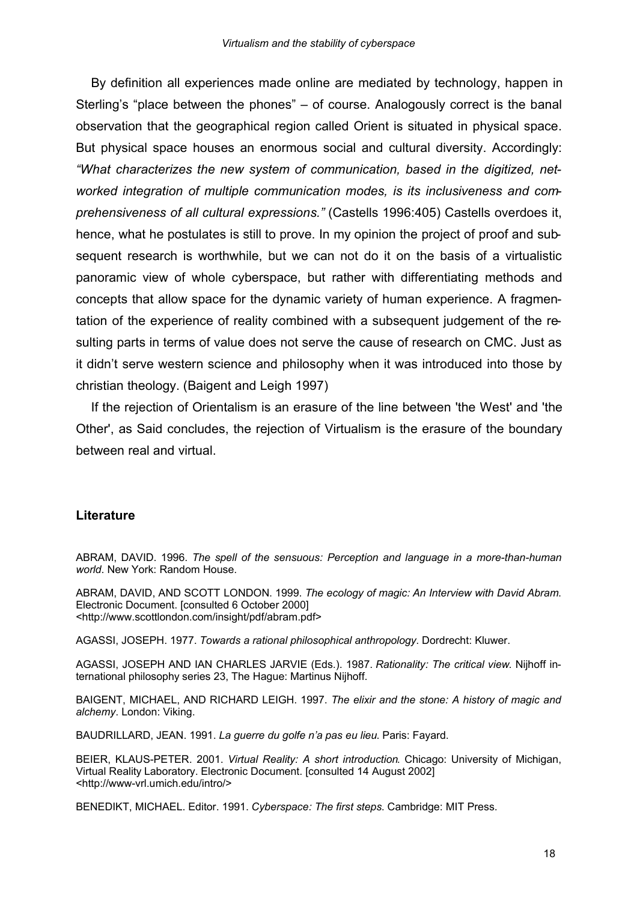By definition all experiences made online are mediated by technology, happen in Sterling's "place between the phones" – of course. Analogously correct is the banal observation that the geographical region called Orient is situated in physical space. But physical space houses an enormous social and cultural diversity. Accordingly: *"What characterizes the new system of communication, based in the digitized, networked integration of multiple communication modes, is its inclusiveness and comprehensiveness of all cultural expressions."* (Castells 1996:405) Castells overdoes it, hence, what he postulates is still to prove. In my opinion the project of proof and subsequent research is worthwhile, but we can not do it on the basis of a virtualistic panoramic view of whole cyberspace, but rather with differentiating methods and concepts that allow space for the dynamic variety of human experience. A fragmentation of the experience of reality combined with a subsequent judgement of the resulting parts in terms of value does not serve the cause of research on CMC. Just as it didn't serve western science and philosophy when it was introduced into those by christian theology. (Baigent and Leigh 1997)

If the rejection of Orientalism is an erasure of the line between 'the West' and 'the Other', as Said concludes, the rejection of Virtualism is the erasure of the boundary between real and virtual.

## **Literature**

ABRAM, DAVID. 1996. *The spell of the sensuous: Perception and language in a more-than-human world*. New York: Random House.

ABRAM, DAVID, AND SCOTT LONDON. 1999. *The ecology of magic: An Interview with David Abram*. Electronic Document. [consulted 6 October 2000] <http://www.scottlondon.com/insight/pdf/abram.pdf>

AGASSI, JOSEPH. 1977. *Towards a rational philosophical anthropology*. Dordrecht: Kluwer.

AGASSI, JOSEPH AND IAN CHARLES JARVIE (Eds.). 1987. *Rationality: The critical view*. Nijhoff international philosophy series 23, The Hague: Martinus Nijhoff.

BAIGENT, MICHAEL, AND RICHARD LEIGH. 1997. *The elixir and the stone: A history of magic and alchemy*. London: Viking.

BAUDRILLARD, JEAN. 1991. *La guerre du golfe n'a pas eu lieu*. Paris: Fayard.

BEIER, KLAUS-PETER. 2001. *Virtual Reality: A short introduction*. Chicago: University of Michigan, Virtual Reality Laboratory. Electronic Document. [consulted 14 August 2002] <http://www-vrl.umich.edu/intro/>

BENEDIKT, MICHAEL. Editor. 1991. *Cyberspace: The first steps*. Cambridge: MIT Press.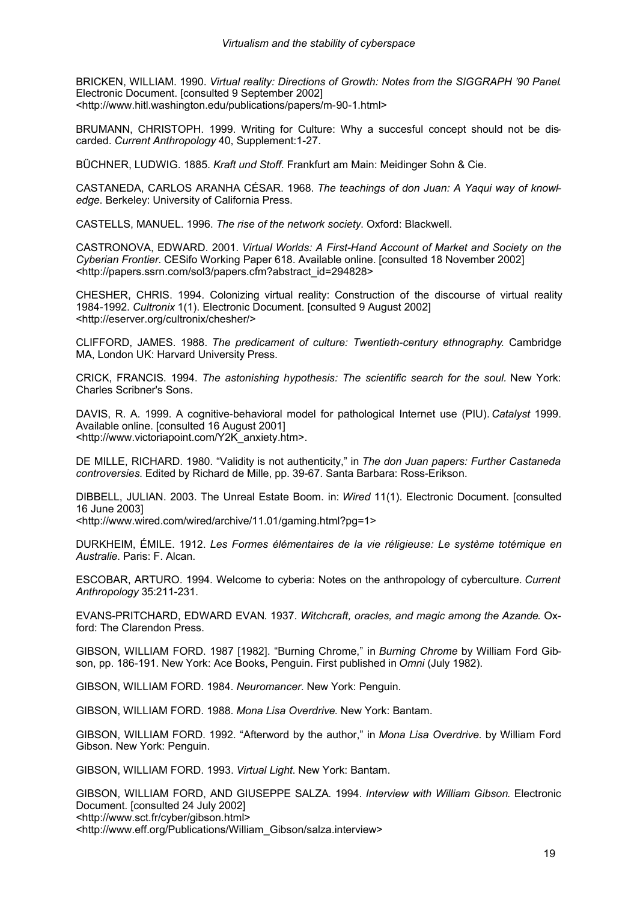BRICKEN, WILLIAM. 1990. *Virtual reality: Directions of Growth: Notes from the SIGGRAPH '90 Panel*. Electronic Document. [consulted 9 September 2002] <http://www.hitl.washington.edu/publications/papers/m-90-1.html>

BRUMANN, CHRISTOPH. 1999. Writing for Culture: Why a succesful concept should not be discarded. *Current Anthropology* 40, Supplement:1-27.

BÜCHNER, LUDWIG. 1885. *Kraft und Stoff*. Frankfurt am Main: Meidinger Sohn & Cie.

CASTANEDA, CARLOS ARANHA CÉSAR. 1968. *The teachings of don Juan: A Yaqui way of knowledge*. Berkeley: University of California Press.

CASTELLS, MANUEL. 1996. *The rise of the network society*. Oxford: Blackwell.

CASTRONOVA, EDWARD. 2001. *Virtual Worlds: A First-Hand Account of Market and Society on the Cyberian Frontier*. CESifo Working Paper 618. Available online. [consulted 18 November 2002] <http://papers.ssrn.com/sol3/papers.cfm?abstract\_id=294828>

CHESHER, CHRIS. 1994. Colonizing virtual reality: Construction of the discourse of virtual reality 1984-1992. *Cultronix* 1(1). Electronic Document. [consulted 9 August 2002] <http://eserver.org/cultronix/chesher/>

CLIFFORD, JAMES. 1988. *The predicament of culture: Twentieth-century ethnography*. Cambridge MA, London UK: Harvard University Press.

CRICK, FRANCIS. 1994. *The astonishing hypothesis: The scientific search for the soul.* New York: Charles Scribner's Sons.

DAVIS, R. A. 1999. A cognitive-behavioral model for pathological Internet use (PIU). *Catalyst* 1999. Available online. [consulted 16 August 2001] <http://www.victoriapoint.com/Y2K\_anxiety.htm>.

DE MILLE, RICHARD. 1980. "Validity is not authenticity," in *The don Juan papers: Further Castaneda controversies*. Edited by Richard de Mille, pp. 39-67. Santa Barbara: Ross-Erikson.

DIBBELL, JULIAN. 2003. The Unreal Estate Boom. in: *Wired* 11(1). Electronic Document. [consulted 16 June 2003]

<http://www.wired.com/wired/archive/11.01/gaming.html?pg=1>

DURKHEIM, ÉMILE. 1912. *Les Formes élémentaires de la vie réligieuse: Le système totémique en Australie*. Paris: F. Alcan.

ESCOBAR, ARTURO. 1994. Welcome to cyberia: Notes on the anthropology of cyberculture. *Current Anthropology* 35:211-231.

EVANS-PRITCHARD, EDWARD EVAN. 1937. *Witchcraft, oracles, and magic among the Azande*. Oxford: The Clarendon Press.

GIBSON, WILLIAM FORD. 1987 [1982]. "Burning Chrome," in *Burning Chrome* by William Ford Gibson, pp. 186-191. New York: Ace Books, Penguin. First published in *Omni* (July 1982).

GIBSON, WILLIAM FORD. 1984. *Neuromancer*. New York: Penguin.

GIBSON, WILLIAM FORD. 1988. *Mona Lisa Overdrive*. New York: Bantam.

GIBSON, WILLIAM FORD. 1992. "Afterword by the author," in *Mona Lisa Overdrive*. by William Ford Gibson. New York: Penguin.

GIBSON, WILLIAM FORD. 1993. *Virtual Light*. New York: Bantam.

GIBSON, WILLIAM FORD, AND GIUSEPPE SALZA. 1994. *Interview with William Gibson*. Electronic Document. [consulted 24 July 2002] <http://www.sct.fr/cyber/gibson.html> <http://www.eff.org/Publications/William\_Gibson/salza.interview>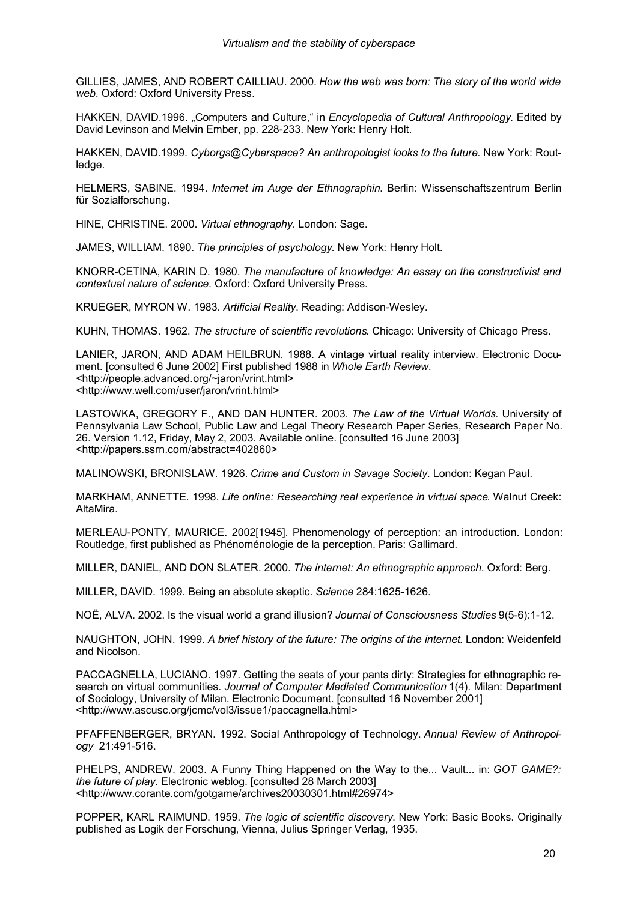GILLIES, JAMES, AND ROBERT CAILLIAU. 2000. *How the web was born: The story of the world wide web*. Oxford: Oxford University Press.

HAKKEN, DAVID.1996. "Computers and Culture," in *Encyclopedia of Cultural Anthropology*. Edited by David Levinson and Melvin Ember, pp. 228-233. New York: Henry Holt.

HAKKEN, DAVID.1999. *Cyborgs@Cyberspace? An anthropologist looks to the future*. New York: Routledge.

HELMERS, SABINE. 1994. *Internet im Auge der Ethnographin*. Berlin: Wissenschaftszentrum Berlin für Sozialforschung.

HINE, CHRISTINE. 2000. *Virtual ethnography*. London: Sage.

JAMES, WILLIAM. 1890. *The principles of psychology*. New York: Henry Holt.

KNORR-CETINA, KARIN D. 1980. *The manufacture of knowledge: An essay on the constructivist and contextual nature of science*. Oxford: Oxford University Press.

KRUEGER, MYRON W. 1983. *Artificial Reality*. Reading: Addison-Wesley.

KUHN, THOMAS. 1962. *The structure of scientific revolutions*. Chicago: University of Chicago Press.

LANIER, JARON, AND ADAM HEILBRUN. 1988. A vintage virtual reality interview. Electronic Document. [consulted 6 June 2002] First published 1988 in *Whole Earth Review*. <http://people.advanced.org/~jaron/vrint.html> <http://www.well.com/user/jaron/vrint.html>

LASTOWKA, GREGORY F., AND DAN HUNTER. 2003. *The Law of the Virtual Worlds*. University of Pennsylvania Law School, Public Law and Legal Theory Research Paper Series, Research Paper No. 26. Version 1.12, Friday, May 2, 2003. Available online. [consulted 16 June 2003] <http://papers.ssrn.com/abstract=402860>

MALINOWSKI, BRONISLAW. 1926. *Crime and Custom in Savage Society*. London: Kegan Paul.

MARKHAM, ANNETTE. 1998. *Life online: Researching real experience in virtual space*. Walnut Creek: AltaMira.

MERLEAU-PONTY, MAURICE. 2002[1945]. Phenomenology of perception: an introduction. London: Routledge, first published as Phénoménologie de la perception. Paris: Gallimard.

MILLER, DANIEL, AND DON SLATER. 2000. *The internet: An ethnographic approach*. Oxford: Berg.

MILLER, DAVID. 1999. Being an absolute skeptic. *Science* 284:1625-1626.

NOË, ALVA. 2002. Is the visual world a grand illusion? *Journal of Consciousness Studies* 9(5-6):1-12.

NAUGHTON, JOHN. 1999. *A brief history of the future: The origins of the internet*. London: Weidenfeld and Nicolson.

PACCAGNELLA, LUCIANO. 1997. Getting the seats of your pants dirty: Strategies for ethnographic research on virtual communities. *Journal of Computer Mediated Communication* 1(4). Milan: Department of Sociology, University of Milan. Electronic Document. [consulted 16 November 2001] <http://www.ascusc.org/jcmc/vol3/issue1/paccagnella.html>

PFAFFENBERGER, BRYAN. 1992. Social Anthropology of Technology. *Annual Review of Anthropology* 21:491-516.

PHELPS, ANDREW. 2003. A Funny Thing Happened on the Way to the... Vault... in: *GOT GAME?: the future of play*. Electronic weblog. [consulted 28 March 2003] <http://www.corante.com/gotgame/archives20030301.html#26974>

POPPER, KARL RAIMUND. 1959. *The logic of scientific discovery*. New York: Basic Books. Originally published as Logik der Forschung, Vienna, Julius Springer Verlag, 1935.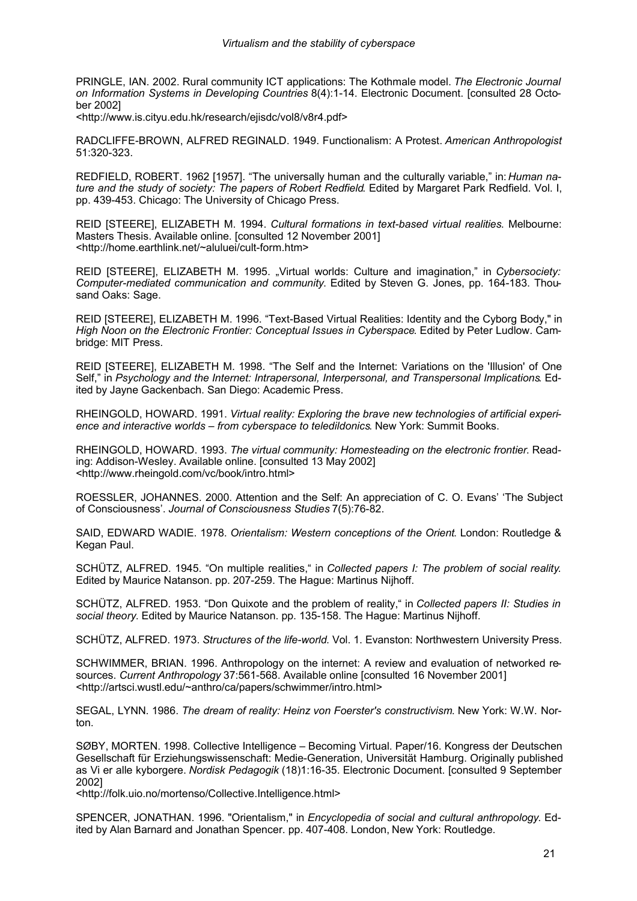PRINGLE, IAN. 2002. Rural community ICT applications: The Kothmale model. *The Electronic Journal on Information Systems in Developing Countries* 8(4):1-14. Electronic Document. [consulted 28 October 2002]

<http://www.is.cityu.edu.hk/research/ejisdc/vol8/v8r4.pdf>

RADCLIFFE-BROWN, ALFRED REGINALD. 1949. Functionalism: A Protest. *American Anthropologist* 51:320-323.

REDFIELD, ROBERT. 1962 [1957]. "The universally human and the culturally variable," in: *Human nature and the study of society: The papers of Robert Redfield*. Edited by Margaret Park Redfield. Vol. I, pp. 439-453. Chicago: The University of Chicago Press.

REID [STEERE], ELIZABETH M. 1994. *Cultural formations in text-based virtual realities*. Melbourne: Masters Thesis. Available online. [consulted 12 November 2001] <http://home.earthlink.net/~aluluei/cult-form.htm>

REID [STEERE], ELIZABETH M. 1995. "Virtual worlds: Culture and imagination," in *Cybersociety: Computer-mediated communication and community*. Edited by Steven G. Jones, pp. 164-183. Thousand Oaks: Sage.

REID [STEERE], ELIZABETH M. 1996. "Text-Based Virtual Realities: Identity and the Cyborg Body," in *High Noon on the Electronic Frontier: Conceptual Issues in Cyberspace*. Edited by Peter Ludlow. Cambridge: MIT Press.

REID [STEERE], ELIZABETH M. 1998. "The Self and the Internet: Variations on the 'Illusion' of One Self," in *Psychology and the Internet: Intrapersonal, Interpersonal, and Transpersonal Implications*. Edited by Jayne Gackenbach. San Diego: Academic Press.

RHEINGOLD, HOWARD. 1991. *Virtual reality: Exploring the brave new technologies of artificial experience and interactive worlds – from cyberspace to teledildonics*. New York: Summit Books.

RHEINGOLD, HOWARD. 1993. *The virtual community: Homesteading on the electronic frontier*. Reading: Addison-Wesley. Available online. [consulted 13 May 2002] <http://www.rheingold.com/vc/book/intro.html>

ROESSLER, JOHANNES. 2000. Attention and the Self: An appreciation of C. O. Evans' 'The Subject of Consciousness'. *Journal of Consciousness Studies* 7(5):76-82.

SAID, EDWARD WADIE. 1978. *Orientalism: Western conceptions of the Orient*. London: Routledge & Kegan Paul.

SCHÜTZ, ALFRED. 1945. "On multiple realities," in *Collected papers I: The problem of social reality*. Edited by Maurice Natanson. pp. 207-259. The Hague: Martinus Nijhoff.

SCHÜTZ, ALFRED. 1953. "Don Quixote and the problem of reality," in *Collected papers II: Studies in social theory*. Edited by Maurice Natanson. pp. 135-158. The Hague: Martinus Nijhoff.

SCHÜTZ, ALFRED. 1973. *Structures of the life-world*. Vol. 1. Evanston: Northwestern University Press.

SCHWIMMER, BRIAN. 1996. Anthropology on the internet: A review and evaluation of networked resources. *Current Anthropology* 37:561-568. Available online [consulted 16 November 2001] <http://artsci.wustl.edu/~anthro/ca/papers/schwimmer/intro.html>

SEGAL, LYNN. 1986. *The dream of reality: Heinz von Foerster's constructivism*. New York: W.W. Norton.

SØBY, MORTEN. 1998. Collective Intelligence – Becoming Virtual. Paper/16. Kongress der Deutschen Gesellschaft für Erziehungswissenschaft: Medie-Generation, Universität Hamburg. Originally published as Vi er alle kyborgere. *Nordisk Pedagogik* (18)1:16-35. Electronic Document. [consulted 9 September 2002]

<http://folk.uio.no/mortenso/Collective.Intelligence.html>

SPENCER, JONATHAN. 1996. "Orientalism," in *Encyclopedia of social and cultural anthropology*. Edited by Alan Barnard and Jonathan Spencer. pp. 407-408. London, New York: Routledge.